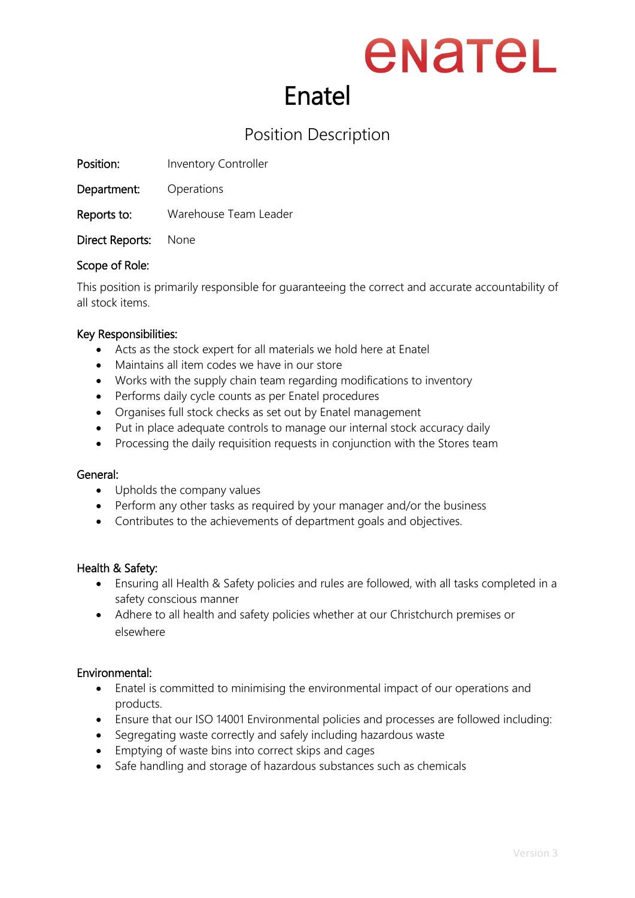### enatel Enatel

### Position Description

Position: Inventory Controller

Department: Operations

Reports to: Warehouse Team Leader

Direct Reports: None

#### Scope of Role:

This position is primarily responsible for guaranteeing the correct and accurate accountability of all stock items.

#### Key Responsibilities:

- Acts as the stock expert for all materials we hold here at Enatel
- Maintains all item codes we have in our store
- Works with the supply chain team regarding modifications to inventory
- Performs daily cycle counts as per Enatel procedures
- Organises full stock checks as set out by Enatel management
- Put in place adequate controls to manage our internal stock accuracy daily
- Processing the daily requisition requests in conjunction with the Stores team

#### General:

- Upholds the company values
- Perform any other tasks as required by your manager and/or the business
- Contributes to the achievements of department goals and objectives.

#### Health & Safety:

- Ensuring all Health & Safety policies and rules are followed, with all tasks completed in a safety conscious manner
- Adhere to all health and safety policies whether at our Christchurch premises or elsewhere

#### Environmental:

- Enatel is committed to minimising the environmental impact of our operations and products.
- Ensure that our ISO 14001 Environmental policies and processes are followed including:
- Segregating waste correctly and safely including hazardous waste
- Emptying of waste bins into correct skips and cages
- Safe handling and storage of hazardous substances such as chemicals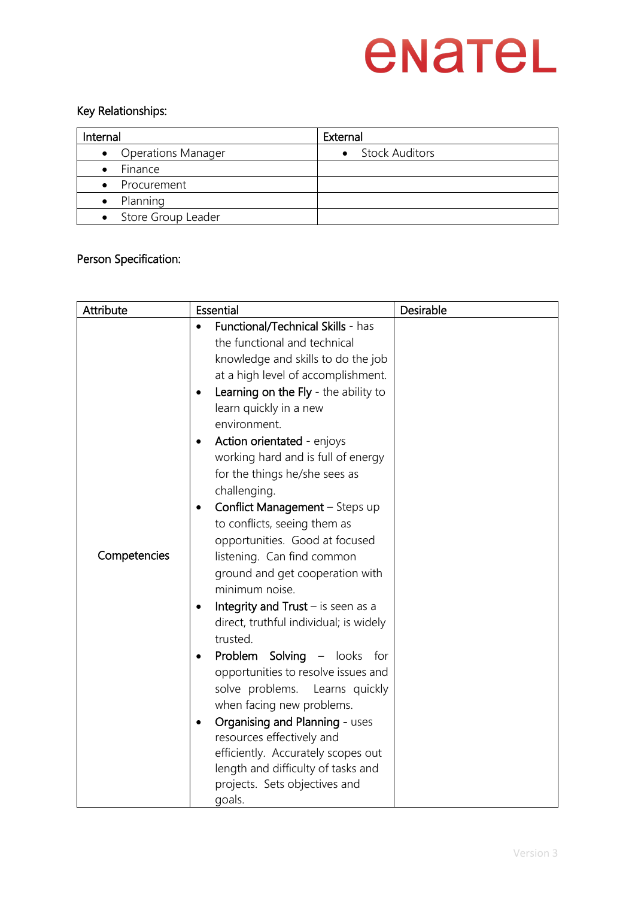## enatel

#### Key Relationships:

| Internal             | External         |
|----------------------|------------------|
| • Operations Manager | • Stock Auditors |
| Finance<br>$\bullet$ |                  |
| • Procurement        |                  |
| Planning             |                  |
| • Store Group Leader |                  |

#### Person Specification:

| Attribute    | <b>Essential</b>                                                                                                                                                                                                                                                                                                                                                                                                                                                                                                                                                                                                                                                                                                                                                                                                                                                                                                                                                                                                                         | Desirable |
|--------------|------------------------------------------------------------------------------------------------------------------------------------------------------------------------------------------------------------------------------------------------------------------------------------------------------------------------------------------------------------------------------------------------------------------------------------------------------------------------------------------------------------------------------------------------------------------------------------------------------------------------------------------------------------------------------------------------------------------------------------------------------------------------------------------------------------------------------------------------------------------------------------------------------------------------------------------------------------------------------------------------------------------------------------------|-----------|
| Competencies | Functional/Technical Skills - has<br>the functional and technical<br>knowledge and skills to do the job<br>at a high level of accomplishment.<br>Learning on the Fly - the ability to<br>$\bullet$<br>learn quickly in a new<br>environment.<br>Action orientated - enjoys<br>$\bullet$<br>working hard and is full of energy<br>for the things he/she sees as<br>challenging.<br>Conflict Management - Steps up<br>$\bullet$<br>to conflicts, seeing them as<br>opportunities. Good at focused<br>listening. Can find common<br>ground and get cooperation with<br>minimum noise.<br>Integrity and $Trust - is seen as a$<br>$\bullet$<br>direct, truthful individual; is widely<br>trusted.<br>Problem Solving - looks for<br>opportunities to resolve issues and<br>solve problems.<br>Learns quickly<br>when facing new problems.<br>Organising and Planning - uses<br>$\bullet$<br>resources effectively and<br>efficiently. Accurately scopes out<br>length and difficulty of tasks and<br>projects. Sets objectives and<br>goals. |           |